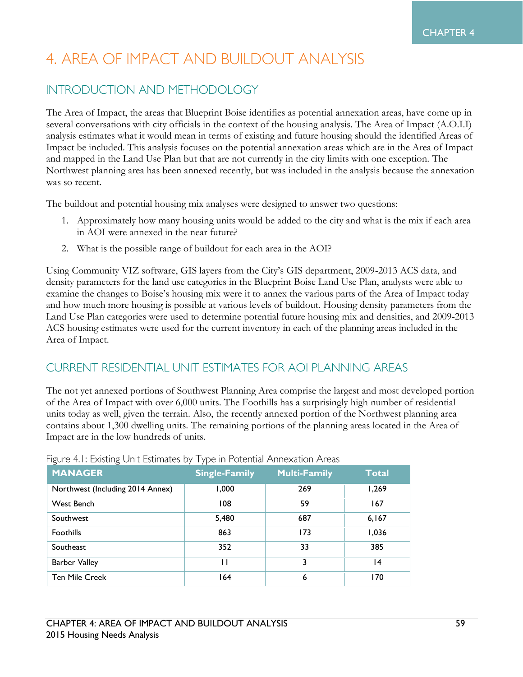# 4. AREA OF IMPACT AND BUILDOUT ANALYSIS

#### **INTRODUCTION AND METHODOLOGY**

The Area of Impact, the areas that Blueprint Boise identifies as potential annexation areas, have come up in several conversations with city officials in the context of the housing analysis. The Area of Impact (A.O.I.I) analysis estimates what it would mean in terms of existing and future housing should the identified Areas of Impact be included. This analysis focuses on the potential annexation areas which are in the Area of Impact and mapped in the Land Use Plan but that are not currently in the city limits with one exception. The Northwest planning area has been annexed recently, but was included in the analysis because the annexation was so recent.

The buildout and potential housing mix analyses were designed to answer two questions:

- 1. Approximately how many housing units would be added to the city and what is the mix if each area in AOI were annexed in the near future?
- 2. What is the possible range of buildout for each area in the AOI?

Using Community VIZ software, GIS layers from the City's GIS department, 2009-2013 ACS data, and density parameters for the land use categories in the Blueprint Boise Land Use Plan, analysts were able to examine the changes to Boise's housing mix were it to annex the various parts of the Area of Impact today and how much more housing is possible at various levels of buildout. Housing density parameters from the Land Use Plan categories were used to determine potential future housing mix and densities, and 2009-2013 ACS housing estimates were used for the current inventory in each of the planning areas included in the Area of Impact.

## **CURRENT RESIDENTIAL UNIT ESTIMATES FOR AOI PLANNING AREAS**

The not yet annexed portions of Southwest Planning Area comprise the largest and most developed portion of the Area of Impact with over 6,000 units. The Foothills has a surprisingly high number of residential units today as well, given the terrain. Also, the recently annexed portion of the Northwest planning area contains about 1,300 dwelling units. The remaining portions of the planning areas located in the Area of Impact are in the low hundreds of units.

| <b>MANAGER</b>                   | <b>Single-Family</b> | <b>Multi-Family</b> | <b>Total</b>    |
|----------------------------------|----------------------|---------------------|-----------------|
| Northwest (Including 2014 Annex) | 1,000                | 269                 | 1,269           |
| West Bench                       | 108                  | 59                  | 167             |
| Southwest                        | 5,480                | 687                 | 6,167           |
| <b>Foothills</b>                 | 863                  | 173                 | 1,036           |
| Southeast                        | 352                  | 33                  | 385             |
| <b>Barber Valley</b>             | П                    | 3                   | $\overline{14}$ |
| <b>Ten Mile Creek</b>            | 164                  | 6                   | 170             |

Figure 4 L Existing Unit Estimates by Type in Potential Annexation Areas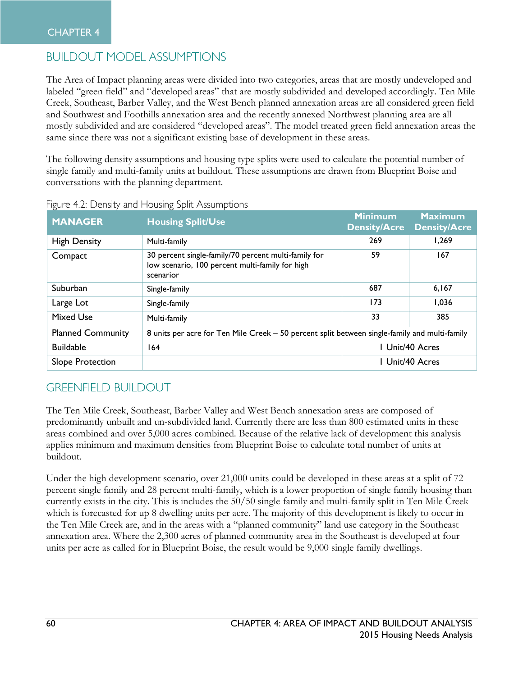# **BUILDOUT MODEL ASSUMPTIONS**

The Area of Impact planning areas were divided into two categories, areas that are mostly undeveloped and labeled "green field" and "developed areas" that are mostly subdivided and developed accordingly. Ten Mile Creek, Southeast, Barber Valley, and the West Bench planned annexation areas are all considered green field and Southwest and Foothills annexation area and the recently annexed Northwest planning area are all mostly subdivided and are considered "developed areas". The model treated green field annexation areas the same since there was not a significant existing base of development in these areas.

The following density assumptions and housing type splits were used to calculate the potential number of single family and multi-family units at buildout. These assumptions are drawn from Blueprint Boise and conversations with the planning department.

| <b>MANAGER</b>           | <b>Housing Split/Use</b>                                                                                             | <b>Minimum</b><br><b>Density/Acre</b> | <b>Maximum</b><br><b>Density/Acre</b> |
|--------------------------|----------------------------------------------------------------------------------------------------------------------|---------------------------------------|---------------------------------------|
| <b>High Density</b>      | Multi-family                                                                                                         | 269                                   | 1,269                                 |
| Compact                  | 30 percent single-family/70 percent multi-family for<br>low scenario, 100 percent multi-family for high<br>scenarior | 59                                    | 167                                   |
| Suburban                 | Single-family                                                                                                        | 687                                   | 6,167                                 |
| Large Lot                | Single-family                                                                                                        | 173                                   | 1,036                                 |
| <b>Mixed Use</b>         | Multi-family                                                                                                         | 33                                    | 385                                   |
| <b>Planned Community</b> | 8 units per acre for Ten Mile Creek - 50 percent split between single-family and multi-family                        |                                       |                                       |
| <b>Buildable</b>         | 164                                                                                                                  |                                       | Unit/40 Acres                         |
| Slope Protection         |                                                                                                                      |                                       | Unit/40 Acres                         |

|  | Figure 4.2: Density and Housing Split Assumptions |  |  |  |
|--|---------------------------------------------------|--|--|--|
|  |                                                   |  |  |  |

# **GREENFIELD BUILDOUT**

The Ten Mile Creek, Southeast, Barber Valley and West Bench annexation areas are composed of predominantly unbuilt and un-subdivided land. Currently there are less than 800 estimated units in these areas combined and over 5,000 acres combined. Because of the relative lack of development this analysis applies minimum and maximum densities from Blueprint Boise to calculate total number of units at buildout.

Under the high development scenario, over 21,000 units could be developed in these areas at a split of 72 percent single family and 28 percent multi-family, which is a lower proportion of single family housing than currently exists in the city. This is includes the 50/50 single family and multi-family split in Ten Mile Creek which is forecasted for up 8 dwelling units per acre. The majority of this development is likely to occur in the Ten Mile Creek are, and in the areas with a "planned community" land use category in the Southeast annexation area. Where the 2,300 acres of planned community area in the Southeast is developed at four units per acre as called for in Blueprint Boise, the result would be 9,000 single family dwellings.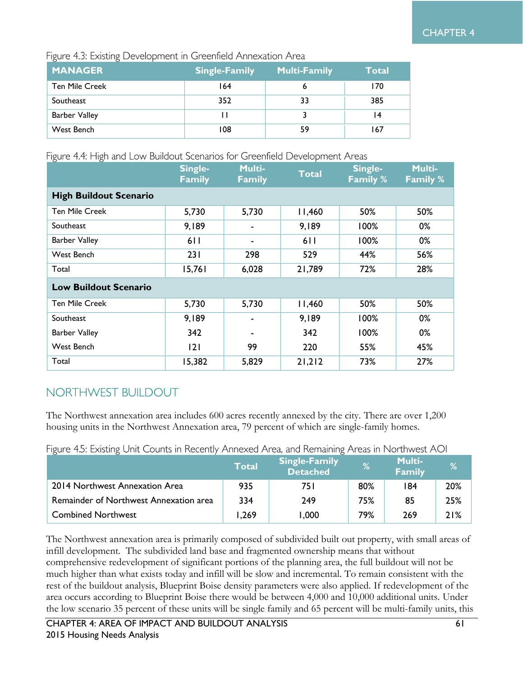Figure 4.3: Existing Development in Greenfield Annexation Area

| <b>MANAGER</b>        | <b>Single-Family</b> | <b>Multi-Family</b> | <b>Total</b> |
|-----------------------|----------------------|---------------------|--------------|
| <b>Ten Mile Creek</b> | 164                  |                     | 170          |
| Southeast             | 352                  | 33                  | 385          |
| <b>Barber Valley</b>  |                      |                     | ۱4           |
| West Bench            | 108                  | 59                  | 167          |

Figure 4.4: High and Low Buildout Scenarios for Greenfield Development Areas

|                               | Single-<br><b>Family</b> | <b>Multi-</b><br><b>Family</b> | <b>Total</b> | Single-<br><b>Family %</b> | <b>Multi-</b><br><b>Family %</b> |
|-------------------------------|--------------------------|--------------------------------|--------------|----------------------------|----------------------------------|
| <b>High Buildout Scenario</b> |                          |                                |              |                            |                                  |
| <b>Ten Mile Creek</b>         | 5,730                    | 5,730                          | 11,460       | 50%                        | 50%                              |
| Southeast                     | 9,189                    |                                | 9,189        | 100%                       | 0%                               |
| <b>Barber Valley</b>          | 611                      |                                | 611          | 100%                       | 0%                               |
| West Bench                    | 231                      | 298                            | 529          | 44%                        | 56%                              |
| Total                         | 15,761                   | 6,028                          | 21,789       | 72%                        | 28%                              |
| <b>Low Buildout Scenario</b>  |                          |                                |              |                            |                                  |
| <b>Ten Mile Creek</b>         | 5,730                    | 5,730                          | 11,460       | 50%                        | 50%                              |
| Southeast                     | 9,189                    |                                | 9,189        | 100%                       | 0%                               |
| <b>Barber Valley</b>          | 342                      |                                | 342          | 100%                       | 0%                               |
| West Bench                    | 2                        | 99                             | 220          | 55%                        | 45%                              |
| Total                         | 15,382                   | 5,829                          | 21,212       | 73%                        | 27%                              |

## NORTHWEST BUILDOUT

The Northwest annexation area includes 600 acres recently annexed by the city. There are over 1,200 housing units in the Northwest Annexation area, 79 percent of which are single-family homes.

Figure 4.5: Existing Unit Counts in Recently Annexed Area, and Remaining Areas in Northwest AOI

|                                        | Total | <b>Single-Family</b><br><b>Detached</b> | %   | <b>Multi-</b><br><b>Family</b> | %   |
|----------------------------------------|-------|-----------------------------------------|-----|--------------------------------|-----|
| 2014 Northwest Annexation Area         | 935   | 75 I                                    | 80% | 184                            | 20% |
| Remainder of Northwest Annexation area | 334   | 249                                     | 75% | 85                             | 25% |
| <b>Combined Northwest</b>              | 1,269 | 000، ا                                  | 79% | 269                            | 21% |

The Northwest annexation area is primarily composed of subdivided built out property, with small areas of infill development. The subdivided land base and fragmented ownership means that without comprehensive redevelopment of significant portions of the planning area, the full buildout will not be much higher than what exists today and infill will be slow and incremental. To remain consistent with the rest of the buildout analysis, Blueprint Boise density parameters were also applied. If redevelopment of the area occurs according to Blueprint Boise there would be between 4,000 and 10,000 additional units. Under the low scenario 35 percent of these units will be single family and 65 percent will be multi-family units, this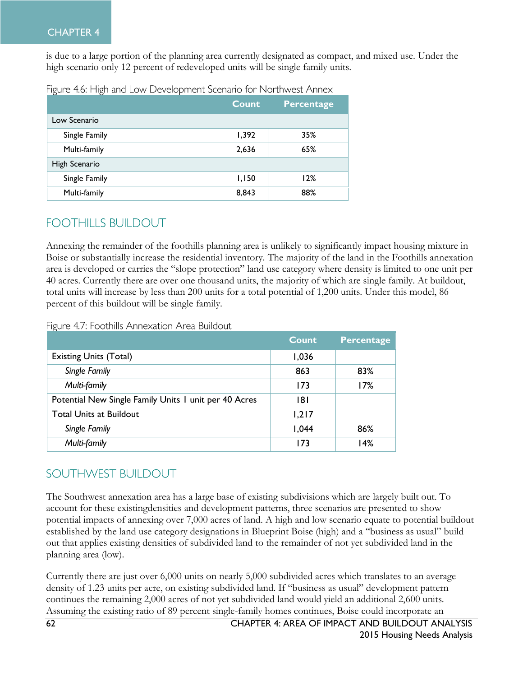#### CHAPTER 4

is due to a large portion of the planning area currently designated as compact, and mixed use. Under the high scenario only 12 percent of redeveloped units will be single family units.

|               | <b>Count</b> | Percentage |
|---------------|--------------|------------|
| Low Scenario  |              |            |
| Single Family | 1,392        | 35%        |
| Multi-family  | 2,636        | 65%        |
| High Scenario |              |            |
| Single Family | 1,150        | 12%        |
| Multi-family  | 8,843        | 88%        |

Figure 4.6: High and Low Development Scenario for Northwest Annex

#### **FOOTHILLS BUILDOUT**

Annexing the remainder of the foothills planning area is unlikely to significantly impact housing mixture in Boise or substantially increase the residential inventory. The majority of the land in the Foothills annexation area is developed or carries the "slope protection" land use category where density is limited to one unit per 40 acres. Currently there are over one thousand units, the majority of which are single family. At buildout, total units will increase by less than 200 units for a total potential of 1,200 units. Under this model, 86 percent of this buildout will be single family.

Figure 4.7: Foothills Annexation Area Buildout

|                                                       | Count | Percentage |
|-------------------------------------------------------|-------|------------|
| <b>Existing Units (Total)</b>                         | 1,036 |            |
| Single Family                                         | 863   | 83%        |
| Multi-family                                          | 173   | 17%        |
| Potential New Single Family Units 1 unit per 40 Acres | 181   |            |
| <b>Total Units at Buildout</b>                        | 1,217 |            |
| Single Family                                         | 1,044 | 86%        |
| Multi-family                                          | 173   | 14%        |

### SOUTHWEST BUILDOUT

The Southwest annexation area has a large base of existing subdivisions which are largely built out. To account for these existingdensities and development patterns, three scenarios are presented to show potential impacts of annexing over 7,000 acres of land. A high and low scenario equate to potential buildout established by the land use category designations in Blueprint Boise (high) and a "business as usual" build out that applies existing densities of subdivided land to the remainder of not yet subdivided land in the planning area (low).

Currently there are just over 6,000 units on nearly 5,000 subdivided acres which translates to an average density of 1.23 units per acre, on existing subdivided land. If "business as usual" development pattern continues the remaining 2,000 acres of not yet subdivided land would yield an additional 2,600 units. Assuming the existing ratio of 89 percent single-family homes continues, Boise could incorporate an